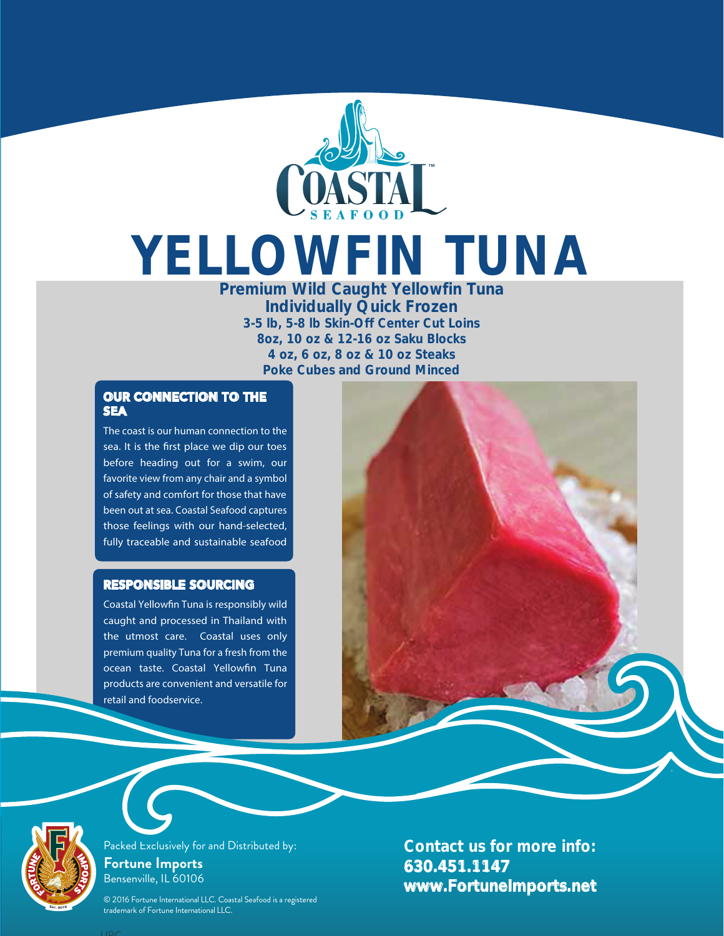

## YELLOWFIN TUNA

Premium Wild Caught Yellowfin Tuna Individually Quick Frozen 3-5 lb, 5-8 lb Skin-Off Center Cut Loins 8oz, 10 oz & 12-16 oz Saku Blocks 4 oz, 6 oz, 8 oz & 10 oz Steaks Poke Cubes and Ground Minced

## OUR CONNECTION TO THE **SEA**

The coast is our human connection to the sea. It is the first place we dip our toes before heading out for a swim, our favorite view from any chair and a symbol of safety and comfort for those that have been out at sea. Coastal Seafood captures those feelings with our hand-selected, fully traceable and sustainable seafood

## RESPONSIBLE SOURCING

Coastal Yellowfin Tuna is responsibly wild caught and processed in Thailand with the utmost care. Coastal uses only premium quality Tuna for a fresh from the ocean taste. Coastal Yellowfin Tuna products are convenient and versatile for retail and foodservice.





Packed Exclusively for and Distributed by: **Fortune Imports** Bensenville, IL 60106

© 2016 Fortune International LLC. Coastal Seafood is a registered trademark of Fortune International LLC.

Contact us for more info: 630.451.1147 www.FortuneImports.net